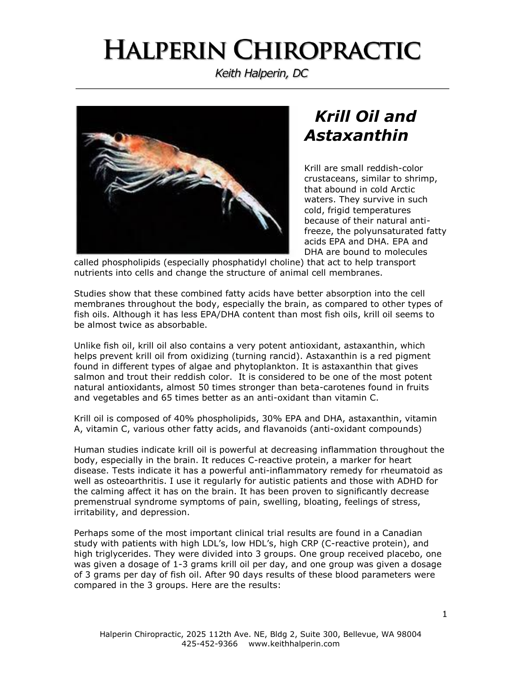## **HALPERIN CHIROPRACTIC**

Keith Halperin, DC



## *Krill Oil and Astaxanthin*

Krill are small reddish-color crustaceans, similar to shrimp, that abound in cold Arctic waters. They survive in such cold, frigid temperatures because of their natural antifreeze, the polyunsaturated fatty acids EPA and DHA. EPA and DHA are bound to molecules

called phospholipids (especially phosphatidyl choline) that act to help transport nutrients into cells and change the structure of animal cell membranes.

Studies show that these combined fatty acids have better absorption into the cell membranes throughout the body, especially the brain, as compared to other types of fish oils. Although it has less EPA/DHA content than most fish oils, krill oil seems to be almost twice as absorbable.

Unlike fish oil, krill oil also contains a very potent antioxidant, astaxanthin, which helps prevent krill oil from oxidizing (turning rancid). Astaxanthin is a red pigment found in different types of algae and phytoplankton. It is astaxanthin that gives salmon and trout their reddish color. It is considered to be one of the most potent natural antioxidants, almost 50 times stronger than beta-carotenes found in fruits and vegetables and 65 times better as an anti-oxidant than vitamin C.

Krill oil is composed of 40% phospholipids, 30% EPA and DHA, astaxanthin, vitamin A, vitamin C, various other fatty acids, and flavanoids (anti-oxidant compounds)

Human studies indicate krill oil is powerful at decreasing inflammation throughout the body, especially in the brain. It reduces C-reactive protein, a marker for heart disease. Tests indicate it has a powerful anti-inflammatory remedy for rheumatoid as well as osteoarthritis. I use it regularly for autistic patients and those with ADHD for the calming affect it has on the brain. It has been proven to significantly decrease premenstrual syndrome symptoms of pain, swelling, bloating, feelings of stress, irritability, and depression.

Perhaps some of the most important clinical trial results are found in a Canadian study with patients with high LDL's, low HDL's, high CRP (C-reactive protein), and high triglycerides. They were divided into 3 groups. One group received placebo, one was given a dosage of 1-3 grams krill oil per day, and one group was given a dosage of 3 grams per day of fish oil. After 90 days results of these blood parameters were compared in the 3 groups. Here are the results: